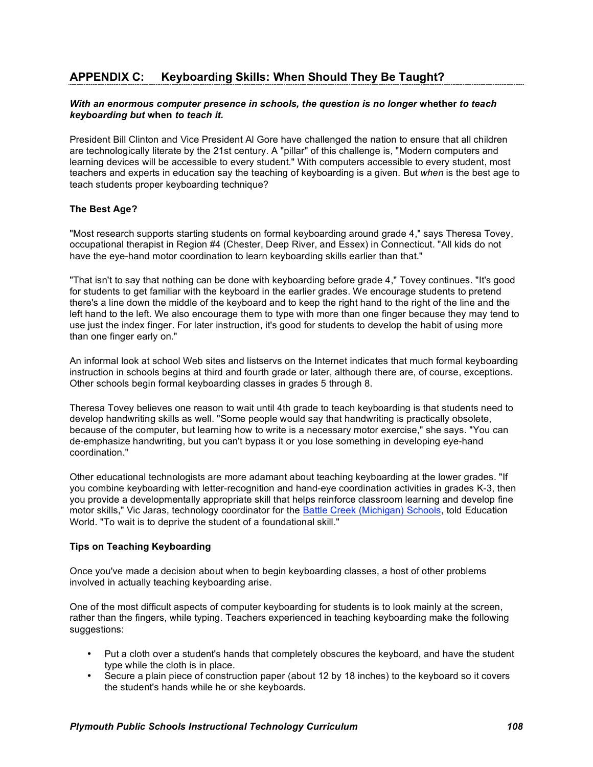# **APPENDIX C: Keyboarding Skills: When Should They Be Taught?**

### *With an enormous computer presence in schools, the question is no longer* **whether** *to teach keyboarding but* **when** *to teach it.*

President Bill Clinton and Vice President Al Gore have challenged the nation to ensure that all children are technologically literate by the 21st century. A "pillar" of this challenge is, "Modern computers and learning devices will be accessible to every student." With computers accessible to every student, most teachers and experts in education say the teaching of keyboarding is a given. But *when* is the best age to teach students proper keyboarding technique?

### **The Best Age?**

"Most research supports starting students on formal keyboarding around grade 4," says Theresa Tovey, occupational therapist in Region #4 (Chester, Deep River, and Essex) in Connecticut. "All kids do not have the eye-hand motor coordination to learn keyboarding skills earlier than that."

"That isn't to say that nothing can be done with keyboarding before grade 4," Tovey continues. "It's good for students to get familiar with the keyboard in the earlier grades. We encourage students to pretend there's a line down the middle of the keyboard and to keep the right hand to the right of the line and the left hand to the left. We also encourage them to type with more than one finger because they may tend to use just the index finger. For later instruction, it's good for students to develop the habit of using more than one finger early on."

An informal look at school Web sites and listservs on the Internet indicates that much formal keyboarding instruction in schools begins at third and fourth grade or later, although there are, of course, exceptions. Other schools begin formal keyboarding classes in grades 5 through 8.

Theresa Tovey believes one reason to wait until 4th grade to teach keyboarding is that students need to develop handwriting skills as well. "Some people would say that handwriting is practically obsolete, because of the computer, but learning how to write is a necessary motor exercise," she says. "You can de-emphasize handwriting, but you can't bypass it or you lose something in developing eye-hand coordination."

Other educational technologists are more adamant about teaching keyboarding at the lower grades. "If you combine keyboarding with letter-recognition and hand-eye coordination activities in grades K-3, then you provide a developmentally appropriate skill that helps reinforce classroom learning and develop fine motor skills," Vic Jaras, technology coordinator for the Battle Creek (Michigan) Schools, told Education World. "To wait is to deprive the student of a foundational skill."

#### **Tips on Teaching Keyboarding**

Once you've made a decision about when to begin keyboarding classes, a host of other problems involved in actually teaching keyboarding arise.

One of the most difficult aspects of computer keyboarding for students is to look mainly at the screen, rather than the fingers, while typing. Teachers experienced in teaching keyboarding make the following suggestions:

- Put a cloth over a student's hands that completely obscures the keyboard, and have the student type while the cloth is in place.
- Secure a plain piece of construction paper (about 12 by 18 inches) to the keyboard so it covers the student's hands while he or she keyboards.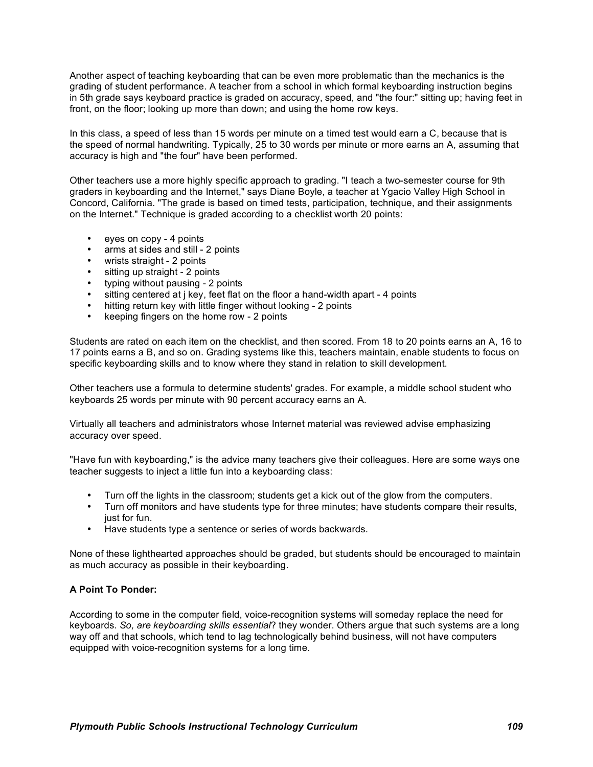Another aspect of teaching keyboarding that can be even more problematic than the mechanics is the grading of student performance. A teacher from a school in which formal keyboarding instruction begins in 5th grade says keyboard practice is graded on accuracy, speed, and "the four:" sitting up; having feet in front, on the floor; looking up more than down; and using the home row keys.

In this class, a speed of less than 15 words per minute on a timed test would earn a C, because that is the speed of normal handwriting. Typically, 25 to 30 words per minute or more earns an A, assuming that accuracy is high and "the four" have been performed.

Other teachers use a more highly specific approach to grading. "I teach a two-semester course for 9th graders in keyboarding and the Internet," says Diane Boyle, a teacher at Ygacio Valley High School in Concord, California. "The grade is based on timed tests, participation, technique, and their assignments on the Internet." Technique is graded according to a checklist worth 20 points:

- eyes on copy 4 points<br>• arms at sides and still
- arms at sides and still 2 points
- wrists straight 2 points
- sitting up straight 2 points
- typing without pausing 2 points
- sitting centered at j key, feet flat on the floor a hand-width apart 4 points
- hitting return key with little finger without looking 2 points
- keeping fingers on the home row 2 points

Students are rated on each item on the checklist, and then scored. From 18 to 20 points earns an A, 16 to 17 points earns a B, and so on. Grading systems like this, teachers maintain, enable students to focus on specific keyboarding skills and to know where they stand in relation to skill development.

Other teachers use a formula to determine students' grades. For example, a middle school student who keyboards 25 words per minute with 90 percent accuracy earns an A.

Virtually all teachers and administrators whose Internet material was reviewed advise emphasizing accuracy over speed.

"Have fun with keyboarding," is the advice many teachers give their colleagues. Here are some ways one teacher suggests to inject a little fun into a keyboarding class:

- Turn off the lights in the classroom; students get a kick out of the glow from the computers.
- Turn off monitors and have students type for three minutes; have students compare their results, just for fun.
- Have students type a sentence or series of words backwards.

None of these lighthearted approaches should be graded, but students should be encouraged to maintain as much accuracy as possible in their keyboarding.

#### **A Point To Ponder:**

According to some in the computer field, voice-recognition systems will someday replace the need for keyboards. *So, are keyboarding skills essential*? they wonder. Others argue that such systems are a long way off and that schools, which tend to lag technologically behind business, will not have computers equipped with voice-recognition systems for a long time.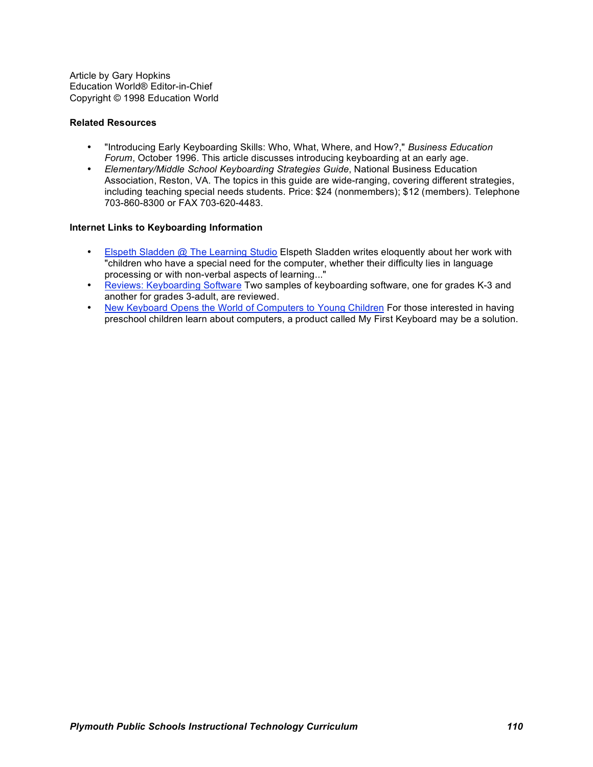Article by Gary Hopkins Education World® Editor-in-Chief Copyright © 1998 Education World

### **Related Resources**

- "Introducing Early Keyboarding Skills: Who, What, Where, and How?," *Business Education Forum*, October 1996. This article discusses introducing keyboarding at an early age.
- *Elementary/Middle School Keyboarding Strategies Guide*, National Business Education Association, Reston, VA. The topics in this guide are wide-ranging, covering different strategies, including teaching special needs students. Price: \$24 (nonmembers); \$12 (members). Telephone 703-860-8300 or FAX 703-620-4483.

### **Internet Links to Keyboarding Information**

- Elspeth Sladden @ The Learning Studio Elspeth Sladden writes eloquently about her work with "children who have a special need for the computer, whether their difficulty lies in language processing or with non-verbal aspects of learning..."
- Reviews: Keyboarding Software Two samples of keyboarding software, one for grades K-3 and another for grades 3-adult, are reviewed.
- New Keyboard Opens the World of Computers to Young Children For those interested in having preschool children learn about computers, a product called My First Keyboard may be a solution.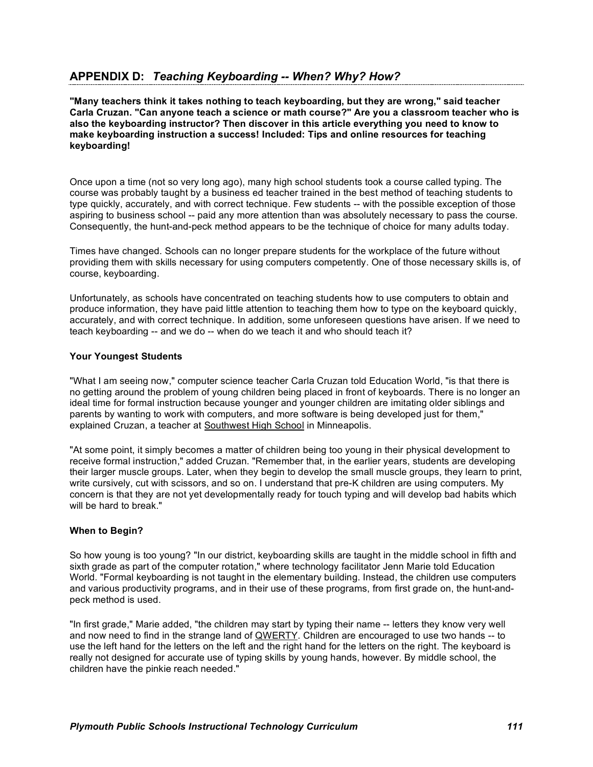**"Many teachers think it takes nothing to teach keyboarding, but they are wrong," said teacher Carla Cruzan. "Can anyone teach a science or math course?" Are you a classroom teacher who is also the keyboarding instructor? Then discover in this article everything you need to know to make keyboarding instruction a success! Included: Tips and online resources for teaching keyboarding!**

Once upon a time (not so very long ago), many high school students took a course called typing. The course was probably taught by a business ed teacher trained in the best method of teaching students to type quickly, accurately, and with correct technique. Few students -- with the possible exception of those aspiring to business school -- paid any more attention than was absolutely necessary to pass the course. Consequently, the hunt-and-peck method appears to be the technique of choice for many adults today.

Times have changed. Schools can no longer prepare students for the workplace of the future without providing them with skills necessary for using computers competently. One of those necessary skills is, of course, keyboarding.

Unfortunately, as schools have concentrated on teaching students how to use computers to obtain and produce information, they have paid little attention to teaching them how to type on the keyboard quickly, accurately, and with correct technique. In addition, some unforeseen questions have arisen. If we need to teach keyboarding -- and we do -- when do we teach it and who should teach it?

### **Your Youngest Students**

"What I am seeing now," computer science teacher Carla Cruzan told Education World, "is that there is no getting around the problem of young children being placed in front of keyboards. There is no longer an ideal time for formal instruction because younger and younger children are imitating older siblings and parents by wanting to work with computers, and more software is being developed just for them," explained Cruzan, a teacher at Southwest High School in Minneapolis.

"At some point, it simply becomes a matter of children being too young in their physical development to receive formal instruction," added Cruzan. "Remember that, in the earlier years, students are developing their larger muscle groups. Later, when they begin to develop the small muscle groups, they learn to print, write cursively, cut with scissors, and so on. I understand that pre-K children are using computers. My concern is that they are not yet developmentally ready for touch typing and will develop bad habits which will be hard to break."

# **When to Begin?**

So how young is too young? "In our district, keyboarding skills are taught in the middle school in fifth and sixth grade as part of the computer rotation," where technology facilitator Jenn Marie told Education World. "Formal keyboarding is not taught in the elementary building. Instead, the children use computers and various productivity programs, and in their use of these programs, from first grade on, the hunt-andpeck method is used.

"In first grade," Marie added, "the children may start by typing their name -- letters they know very well and now need to find in the strange land of QWERTY. Children are encouraged to use two hands -- to use the left hand for the letters on the left and the right hand for the letters on the right. The keyboard is really not designed for accurate use of typing skills by young hands, however. By middle school, the children have the pinkie reach needed."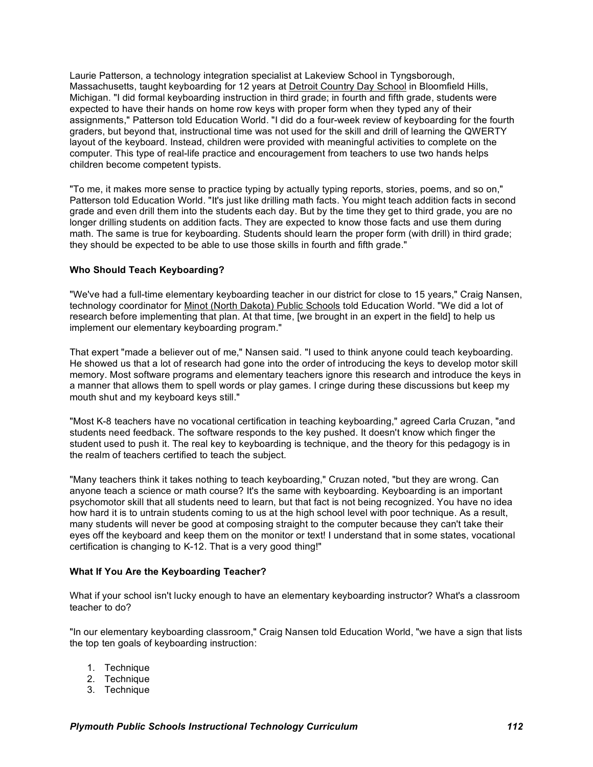Laurie Patterson, a technology integration specialist at Lakeview School in Tyngsborough, Massachusetts, taught keyboarding for 12 years at Detroit Country Day School in Bloomfield Hills, Michigan. "I did formal keyboarding instruction in third grade; in fourth and fifth grade, students were expected to have their hands on home row keys with proper form when they typed any of their assignments," Patterson told Education World. "I did do a four-week review of keyboarding for the fourth graders, but beyond that, instructional time was not used for the skill and drill of learning the QWERTY layout of the keyboard. Instead, children were provided with meaningful activities to complete on the computer. This type of real-life practice and encouragement from teachers to use two hands helps children become competent typists.

"To me, it makes more sense to practice typing by actually typing reports, stories, poems, and so on," Patterson told Education World. "It's just like drilling math facts. You might teach addition facts in second grade and even drill them into the students each day. But by the time they get to third grade, you are no longer drilling students on addition facts. They are expected to know those facts and use them during math. The same is true for keyboarding. Students should learn the proper form (with drill) in third grade; they should be expected to be able to use those skills in fourth and fifth grade."

# **Who Should Teach Keyboarding?**

"We've had a full-time elementary keyboarding teacher in our district for close to 15 years," Craig Nansen, technology coordinator for Minot (North Dakota) Public Schools told Education World. "We did a lot of research before implementing that plan. At that time, [we brought in an expert in the field] to help us implement our elementary keyboarding program."

That expert "made a believer out of me," Nansen said. "I used to think anyone could teach keyboarding. He showed us that a lot of research had gone into the order of introducing the keys to develop motor skill memory. Most software programs and elementary teachers ignore this research and introduce the keys in a manner that allows them to spell words or play games. I cringe during these discussions but keep my mouth shut and my keyboard keys still."

"Most K-8 teachers have no vocational certification in teaching keyboarding," agreed Carla Cruzan, "and students need feedback. The software responds to the key pushed. It doesn't know which finger the student used to push it. The real key to keyboarding is technique, and the theory for this pedagogy is in the realm of teachers certified to teach the subject.

"Many teachers think it takes nothing to teach keyboarding," Cruzan noted, "but they are wrong. Can anyone teach a science or math course? It's the same with keyboarding. Keyboarding is an important psychomotor skill that all students need to learn, but that fact is not being recognized. You have no idea how hard it is to untrain students coming to us at the high school level with poor technique. As a result, many students will never be good at composing straight to the computer because they can't take their eyes off the keyboard and keep them on the monitor or text! I understand that in some states, vocational certification is changing to K-12. That is a very good thing!"

# **What If You Are the Keyboarding Teacher?**

What if your school isn't lucky enough to have an elementary keyboarding instructor? What's a classroom teacher to do?

"In our elementary keyboarding classroom," Craig Nansen told Education World, "we have a sign that lists the top ten goals of keyboarding instruction:

- 1. Technique
- 2. Technique
- 3. Technique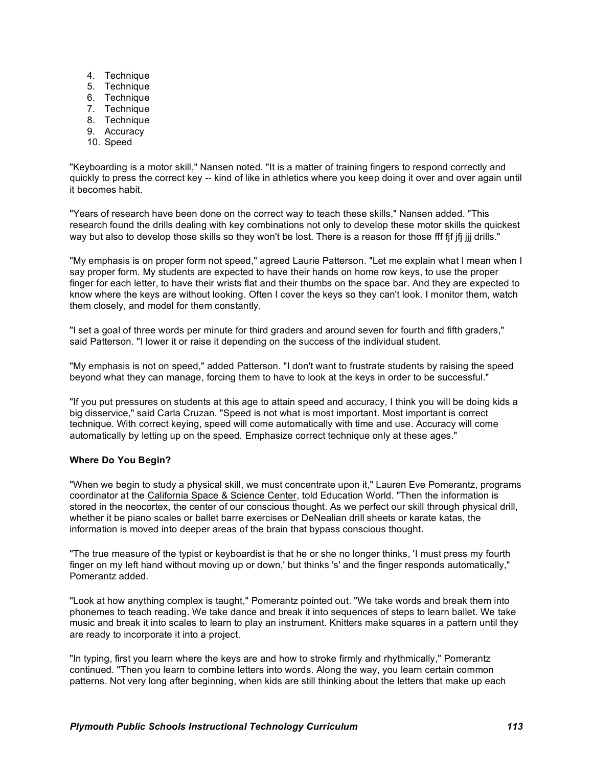- 4. Technique
- 5. Technique
- 6. Technique
- 7. Technique
- 8. Technique
- 9. Accuracy
- 10. Speed

"Keyboarding is a motor skill," Nansen noted. "It is a matter of training fingers to respond correctly and quickly to press the correct key -- kind of like in athletics where you keep doing it over and over again until it becomes habit.

"Years of research have been done on the correct way to teach these skills," Nansen added. "This research found the drills dealing with key combinations not only to develop these motor skills the quickest way but also to develop those skills so they won't be lost. There is a reason for those fff fif ifi jij drills."

"My emphasis is on proper form not speed," agreed Laurie Patterson. "Let me explain what I mean when I say proper form. My students are expected to have their hands on home row keys, to use the proper finger for each letter, to have their wrists flat and their thumbs on the space bar. And they are expected to know where the keys are without looking. Often I cover the keys so they can't look. I monitor them, watch them closely, and model for them constantly.

"I set a goal of three words per minute for third graders and around seven for fourth and fifth graders," said Patterson. "I lower it or raise it depending on the success of the individual student.

"My emphasis is not on speed," added Patterson. "I don't want to frustrate students by raising the speed beyond what they can manage, forcing them to have to look at the keys in order to be successful."

"If you put pressures on students at this age to attain speed and accuracy, I think you will be doing kids a big disservice," said Carla Cruzan. "Speed is not what is most important. Most important is correct technique. With correct keying, speed will come automatically with time and use. Accuracy will come automatically by letting up on the speed. Emphasize correct technique only at these ages."

#### **Where Do You Begin?**

"When we begin to study a physical skill, we must concentrate upon it," Lauren Eve Pomerantz, programs coordinator at the California Space & Science Center, told Education World. "Then the information is stored in the neocortex, the center of our conscious thought. As we perfect our skill through physical drill, whether it be piano scales or ballet barre exercises or DeNealian drill sheets or karate katas, the information is moved into deeper areas of the brain that bypass conscious thought.

"The true measure of the typist or keyboardist is that he or she no longer thinks, 'I must press my fourth finger on my left hand without moving up or down,' but thinks 's' and the finger responds automatically," Pomerantz added.

"Look at how anything complex is taught," Pomerantz pointed out. "We take words and break them into phonemes to teach reading. We take dance and break it into sequences of steps to learn ballet. We take music and break it into scales to learn to play an instrument. Knitters make squares in a pattern until they are ready to incorporate it into a project.

"In typing, first you learn where the keys are and how to stroke firmly and rhythmically," Pomerantz continued. "Then you learn to combine letters into words. Along the way, you learn certain common patterns. Not very long after beginning, when kids are still thinking about the letters that make up each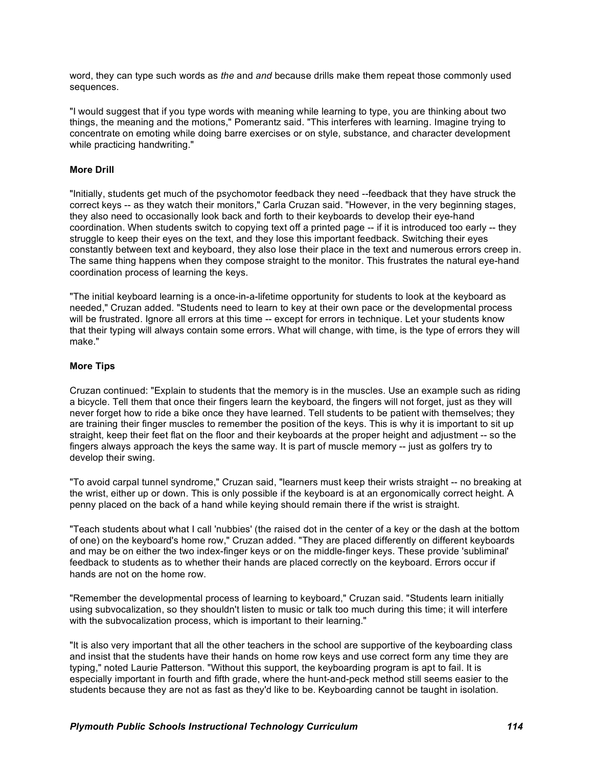word, they can type such words as *the* and *and* because drills make them repeat those commonly used sequences.

"I would suggest that if you type words with meaning while learning to type, you are thinking about two things, the meaning and the motions," Pomerantz said. "This interferes with learning. Imagine trying to concentrate on emoting while doing barre exercises or on style, substance, and character development while practicing handwriting."

### **More Drill**

"Initially, students get much of the psychomotor feedback they need --feedback that they have struck the correct keys -- as they watch their monitors," Carla Cruzan said. "However, in the very beginning stages, they also need to occasionally look back and forth to their keyboards to develop their eye-hand coordination. When students switch to copying text off a printed page -- if it is introduced too early -- they struggle to keep their eyes on the text, and they lose this important feedback. Switching their eyes constantly between text and keyboard, they also lose their place in the text and numerous errors creep in. The same thing happens when they compose straight to the monitor. This frustrates the natural eye-hand coordination process of learning the keys.

"The initial keyboard learning is a once-in-a-lifetime opportunity for students to look at the keyboard as needed," Cruzan added. "Students need to learn to key at their own pace or the developmental process will be frustrated. Ignore all errors at this time -- except for errors in technique. Let your students know that their typing will always contain some errors. What will change, with time, is the type of errors they will make."

### **More Tips**

Cruzan continued: "Explain to students that the memory is in the muscles. Use an example such as riding a bicycle. Tell them that once their fingers learn the keyboard, the fingers will not forget, just as they will never forget how to ride a bike once they have learned. Tell students to be patient with themselves; they are training their finger muscles to remember the position of the keys. This is why it is important to sit up straight, keep their feet flat on the floor and their keyboards at the proper height and adjustment -- so the fingers always approach the keys the same way. It is part of muscle memory -- just as golfers try to develop their swing.

"To avoid carpal tunnel syndrome," Cruzan said, "learners must keep their wrists straight -- no breaking at the wrist, either up or down. This is only possible if the keyboard is at an ergonomically correct height. A penny placed on the back of a hand while keying should remain there if the wrist is straight.

"Teach students about what I call 'nubbies' (the raised dot in the center of a key or the dash at the bottom of one) on the keyboard's home row," Cruzan added. "They are placed differently on different keyboards and may be on either the two index-finger keys or on the middle-finger keys. These provide 'subliminal' feedback to students as to whether their hands are placed correctly on the keyboard. Errors occur if hands are not on the home row.

"Remember the developmental process of learning to keyboard," Cruzan said. "Students learn initially using subvocalization, so they shouldn't listen to music or talk too much during this time; it will interfere with the subvocalization process, which is important to their learning."

"It is also very important that all the other teachers in the school are supportive of the keyboarding class and insist that the students have their hands on home row keys and use correct form any time they are typing," noted Laurie Patterson. "Without this support, the keyboarding program is apt to fail. It is especially important in fourth and fifth grade, where the hunt-and-peck method still seems easier to the students because they are not as fast as they'd like to be. Keyboarding cannot be taught in isolation.